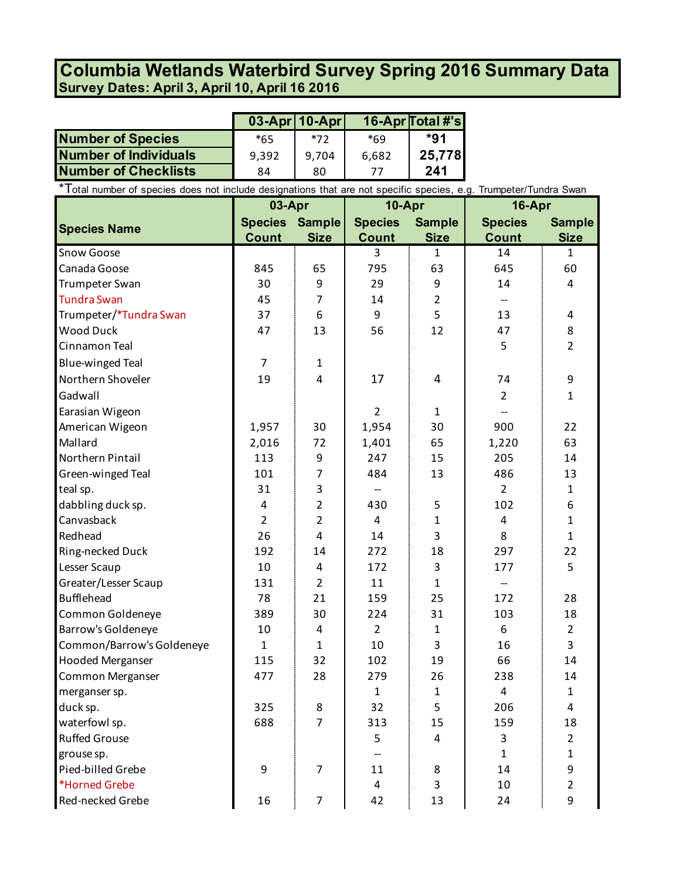## **Survey Dates: April 3, April 10, April 16 2016 Columbia Wetlands Waterbird Survey Spring 2016 Summary Data**

|                              |       | $03$ -Apr   10-Apr |       | 16-Apr Total #'s |
|------------------------------|-------|--------------------|-------|------------------|
| <b>Number of Species</b>     | $*65$ | $*72$              | $*69$ | *91              |
| <b>Number of Individuals</b> | 9.392 | 9,704              | 6,682 | 25,778           |
| <b>Number of Checklists</b>  | 84    | 80                 |       | 241              |

\*Total number of species does not include designations that are not specific species, e.g. Trumpeter/Tundra Swan

|                           | 03-Apr                |                | 10-Apr         |                | 16-Apr         |                |
|---------------------------|-----------------------|----------------|----------------|----------------|----------------|----------------|
| <b>Species Name</b>       | <b>Species Sample</b> |                | <b>Species</b> | <b>Sample</b>  | <b>Species</b> | <b>Sample</b>  |
|                           | <b>Count</b>          | <b>Size</b>    | <b>Count</b>   | <b>Size</b>    | <b>Count</b>   | <b>Size</b>    |
| Snow Goose                |                       |                | 3              | $\mathbf{1}$   | 14             | $\mathbf{1}$   |
| Canada Goose              | 845                   | 65             | 795            | 63             | 645            | 60             |
| Trumpeter Swan            | 30                    | 9              | 29             | 9              | 14             | 4              |
| <b>Tundra Swan</b>        | 45                    | 7              | 14             | $\overline{2}$ |                |                |
| Trumpeter/*Tundra Swan    | 37                    | 6              | 9              | 5              | 13             | 4              |
| <b>Wood Duck</b>          | 47                    | 13             | 56             | 12             | 47             | 8              |
| Cinnamon Teal             |                       |                |                |                | 5              | $\overline{2}$ |
| <b>Blue-winged Teal</b>   | $\overline{7}$        | 1              |                |                |                |                |
| Northern Shoveler         | 19                    | 4              | 17             | 4              | 74             | 9              |
| Gadwall                   |                       |                |                |                | $\overline{2}$ | $\mathbf{1}$   |
| Earasian Wigeon           |                       |                | $\overline{2}$ | $\mathbf{1}$   |                |                |
| American Wigeon           | 1,957                 | 30             | 1,954          | 30             | 900            | 22             |
| Mallard                   | 2,016                 | 72             | 1,401          | 65             | 1,220          | 63             |
| Northern Pintail          | 113                   | 9              | 247            | 15             | 205            | 14             |
| Green-winged Teal         | 101                   | $\overline{7}$ | 484            | 13             | 486            | 13             |
| teal sp.                  | 31                    | 3              |                |                | $\overline{2}$ | $\mathbf{1}$   |
| dabbling duck sp.         | 4                     | $\overline{2}$ | 430            | 5              | 102            | 6              |
| Canvasback                | $\overline{2}$        | $\overline{2}$ | 4              | $\mathbf{1}$   | 4              | $\mathbf{1}$   |
| Redhead                   | 26                    | 4              | 14             | 3              | 8              | $\mathbf{1}$   |
| Ring-necked Duck          | 192                   | 14             | 272            | 18             | 297            | 22             |
| Lesser Scaup              | 10                    | 4              | 172            | 3              | 177            | 5              |
| Greater/Lesser Scaup      | 131                   | $\overline{2}$ | 11             | $\mathbf{1}$   |                |                |
| <b>Bufflehead</b>         | 78                    | 21             | 159            | 25             | 172            | 28             |
| Common Goldeneye          | 389                   | 30             | 224            | 31             | 103            | 18             |
| Barrow's Goldeneye        | 10                    | 4              | $\overline{2}$ | $\mathbf{1}$   | 6              | $\overline{2}$ |
| Common/Barrow's Goldeneye | $\mathbf{1}$          | 1              | 10             | 3              | 16             | 3              |
| <b>Hooded Merganser</b>   | 115                   | 32             | 102            | 19             | 66             | 14             |
| Common Merganser          | 477                   | 28             | 279            | 26             | 238            | 14             |
| merganser sp.             |                       |                | $\mathbf{1}$   | $\mathbf{1}$   | 4              | $\mathbf{1}$   |
| duck sp.                  | 325                   | 8              | 32             | 5              | 206            | 4              |
| waterfowl sp.             | 688                   | $\overline{7}$ | 313            | 15             | 159            | 18             |
| <b>Ruffed Grouse</b>      |                       |                | 5              | 4              | 3              | $2^{\circ}$    |
| grouse sp.                |                       |                |                |                | $\mathbf{1}$   | $\mathbf{1}$   |
| Pied-billed Grebe         | 9                     | $\overline{7}$ | 11             | 8              | 14             | 9              |
| *Horned Grebe             |                       |                | 4              | 3              | 10             | $\overline{2}$ |
| Red-necked Grebe          | 16                    | $\overline{7}$ | 42             | 13             | 24             | 9              |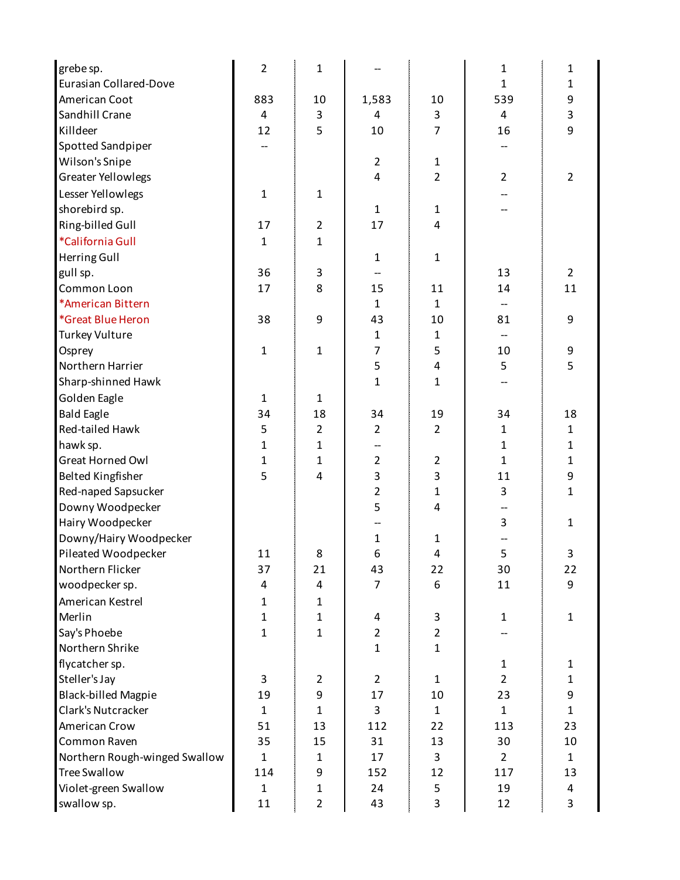| grebe sp.                     | $\overline{2}$ | $\mathbf{1}$   |                |                | 1              | 1              |
|-------------------------------|----------------|----------------|----------------|----------------|----------------|----------------|
| <b>Eurasian Collared-Dove</b> |                |                |                |                | 1              | 1              |
| American Coot                 | 883            | 10             | 1,583          | 10             | 539            | 9              |
| Sandhill Crane                | 4              | 3              | 4              | 3              | 4              | 3              |
| Killdeer                      | 12             | 5              | 10             | $\overline{7}$ | 16             | 9              |
| Spotted Sandpiper             |                |                |                |                |                |                |
| Wilson's Snipe                |                |                | $\overline{2}$ | $\mathbf{1}$   |                |                |
| <b>Greater Yellowlegs</b>     |                |                | $\overline{4}$ | $\overline{2}$ | $\overline{2}$ | $\overline{2}$ |
| Lesser Yellowlegs             | 1              | $\mathbf{1}$   |                |                |                |                |
| shorebird sp.                 |                |                | $\mathbf{1}$   | 1              |                |                |
| Ring-billed Gull              | 17             | $\overline{2}$ | 17             | 4              |                |                |
| *California Gull              | 1              | 1              |                |                |                |                |
| Herring Gull                  |                |                | $\mathbf{1}$   | $\mathbf{1}$   |                |                |
| gull sp.                      | 36             | 3              |                |                | 13             | $\overline{2}$ |
| Common Loon                   | 17             | 8              | 15             | 11             | 14             | 11             |
| *American Bittern             |                |                | $\mathbf{1}$   | $\mathbf{1}$   |                |                |
| *Great Blue Heron             | 38             | 9              | 43             | 10             | 81             | 9              |
| <b>Turkey Vulture</b>         |                |                | $\mathbf{1}$   | 1              |                |                |
| Osprey                        | 1              | $\mathbf{1}$   | 7              | 5              | 10             | 9              |
| Northern Harrier              |                |                | 5              | 4              | 5              | 5              |
| Sharp-shinned Hawk            |                |                | $\mathbf 1$    | 1              |                |                |
| Golden Eagle                  | 1              | $\mathbf{1}$   |                |                |                |                |
| <b>Bald Eagle</b>             | 34             | 18             | 34             | 19             | 34             | 18             |
| Red-tailed Hawk               | 5              | $\overline{2}$ | $\overline{2}$ | $\overline{2}$ | 1              | 1              |
| hawk sp.                      | 1              | 1              |                |                | 1              | 1              |
| <b>Great Horned Owl</b>       | 1              | 1              | $\overline{2}$ | $\overline{2}$ | $\mathbf{1}$   | 1              |
| <b>Belted Kingfisher</b>      | 5              | $\overline{4}$ | 3              | 3              | 11             | 9              |
| Red-naped Sapsucker           |                |                | 2              | 1              | 3              | 1              |
| Downy Woodpecker              |                |                | 5              | 4              |                |                |
| Hairy Woodpecker              |                |                |                |                | 3              | $\mathbf{1}$   |
| Downy/Hairy Woodpecker        |                |                | 1              | 1              |                |                |
| Pileated Woodpecker           | 11             | 8              | 6              | 4              | 5              | 3              |
| Northern Flicker              | 37             | 21             | 43             | 22             | 30             | 22             |
| woodpecker sp.                | 4              | 4              | $\overline{7}$ | 6              | 11             | 9              |
| American Kestrel              | 1              | $\mathbf{1}$   |                |                |                |                |
| Merlin                        | $\mathbf{1}$   | $\mathbf{1}$   | 4              | 3              | $\mathbf{1}$   | $\mathbf{1}$   |
| Say's Phoebe                  | $\mathbf{1}$   | $\mathbf{1}$   | $\overline{2}$ | $\overline{2}$ |                |                |
| Northern Shrike               |                |                | $\mathbf{1}$   | $\mathbf{1}$   |                |                |
| flycatcher sp.                |                |                |                |                | $\mathbf{1}$   | 1              |
| Steller's Jay                 | 3              | $\overline{2}$ | $\overline{2}$ | $\mathbf{1}$   | $\overline{2}$ | $\mathbf{1}$   |
| <b>Black-billed Magpie</b>    | 19             | 9              | 17             | 10             | 23             | 9              |
| Clark's Nutcracker            | $\mathbf{1}$   | $\mathbf{1}$   | 3              | $\mathbf{1}$   | $\mathbf{1}$   | $\mathbf{1}$   |
| American Crow                 | 51             | 13             | 112            | 22             | 113            | 23             |
| Common Raven                  | 35             | 15             | 31             | 13             | 30             | 10             |
| Northern Rough-winged Swallow | $\mathbf{1}$   | $\mathbf{1}$   | 17             | 3              | $2^{\circ}$    | $\mathbf{1}$   |
| <b>Tree Swallow</b>           | 114            | 9              | 152            | 12             | 117            | 13             |
| Violet-green Swallow          | $\mathbf{1}$   | $\mathbf{1}$   | 24             | 5              | 19             | 4              |
| swallow sp.                   | 11             | $\overline{2}$ | 43             | 3              | 12             | 3              |